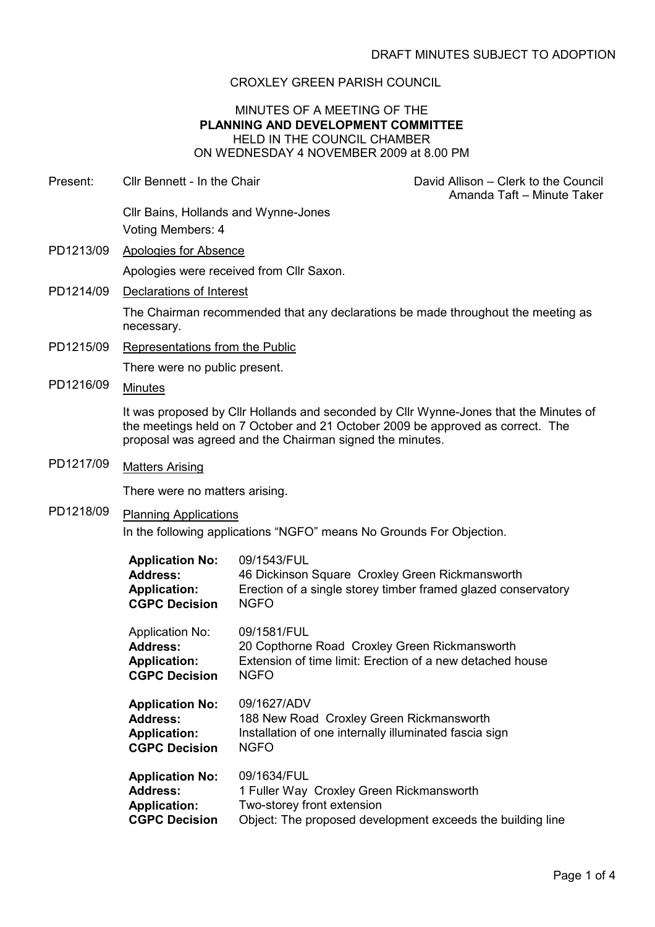# CROXLEY GREEN PARISH COUNCIL

# MINUTES OF A MEETING OF THE PLANNING AND DEVELOPMENT COMMITTEE HELD IN THE COUNCIL CHAMBER ON WEDNESDAY 4 NOVEMBER 2009 at 8.00 PM

| Present:  | Cllr Bennett - In the Chair                                                                                                                                                                                                         |                                                                                                                                          | David Allison – Clerk to the Council<br>Amanda Taft - Minute Taker |  |
|-----------|-------------------------------------------------------------------------------------------------------------------------------------------------------------------------------------------------------------------------------------|------------------------------------------------------------------------------------------------------------------------------------------|--------------------------------------------------------------------|--|
|           | Cllr Bains, Hollands and Wynne-Jones                                                                                                                                                                                                |                                                                                                                                          |                                                                    |  |
|           | Voting Members: 4                                                                                                                                                                                                                   |                                                                                                                                          |                                                                    |  |
| PD1213/09 | <b>Apologies for Absence</b>                                                                                                                                                                                                        |                                                                                                                                          |                                                                    |  |
|           | Apologies were received from Cllr Saxon.                                                                                                                                                                                            |                                                                                                                                          |                                                                    |  |
| PD1214/09 | Declarations of Interest                                                                                                                                                                                                            |                                                                                                                                          |                                                                    |  |
|           | The Chairman recommended that any declarations be made throughout the meeting as<br>necessary.                                                                                                                                      |                                                                                                                                          |                                                                    |  |
| PD1215/09 | Representations from the Public                                                                                                                                                                                                     |                                                                                                                                          |                                                                    |  |
|           | There were no public present.                                                                                                                                                                                                       |                                                                                                                                          |                                                                    |  |
| PD1216/09 | <b>Minutes</b>                                                                                                                                                                                                                      |                                                                                                                                          |                                                                    |  |
|           | It was proposed by Clir Hollands and seconded by Clir Wynne-Jones that the Minutes of<br>the meetings held on 7 October and 21 October 2009 be approved as correct. The<br>proposal was agreed and the Chairman signed the minutes. |                                                                                                                                          |                                                                    |  |
| PD1217/09 | <b>Matters Arising</b>                                                                                                                                                                                                              |                                                                                                                                          |                                                                    |  |
|           | There were no matters arising.                                                                                                                                                                                                      |                                                                                                                                          |                                                                    |  |
| PD1218/09 | <b>Planning Applications</b>                                                                                                                                                                                                        |                                                                                                                                          |                                                                    |  |
|           | In the following applications "NGFO" means No Grounds For Objection.                                                                                                                                                                |                                                                                                                                          |                                                                    |  |
|           | <b>Application No:</b><br><b>Address:</b><br><b>Application:</b><br><b>CGPC Decision</b>                                                                                                                                            | 09/1543/FUL<br>46 Dickinson Square Croxley Green Rickmansworth<br><b>NGFO</b>                                                            | Erection of a single storey timber framed glazed conservatory      |  |
|           | <b>Application No:</b><br><b>Address:</b><br><b>Application:</b><br><b>CGPC Decision</b>                                                                                                                                            | 09/1581/FUL<br>20 Copthorne Road Croxley Green Rickmansworth<br>Extension of time limit: Erection of a new detached house<br><b>NGFO</b> |                                                                    |  |
|           | <b>Application No:</b><br><b>Address:</b><br><b>Application:</b><br><b>CGPC Decision</b>                                                                                                                                            | 09/1627/ADV<br>188 New Road Croxley Green Rickmansworth<br>Installation of one internally illuminated fascia sign<br><b>NGFO</b>         |                                                                    |  |
|           | <b>Application No:</b><br><b>Address:</b><br><b>Application:</b><br><b>CGPC Decision</b>                                                                                                                                            | 09/1634/FUL<br>1 Fuller Way Croxley Green Rickmansworth<br>Two-storey front extension                                                    | Object: The proposed development exceeds the building line         |  |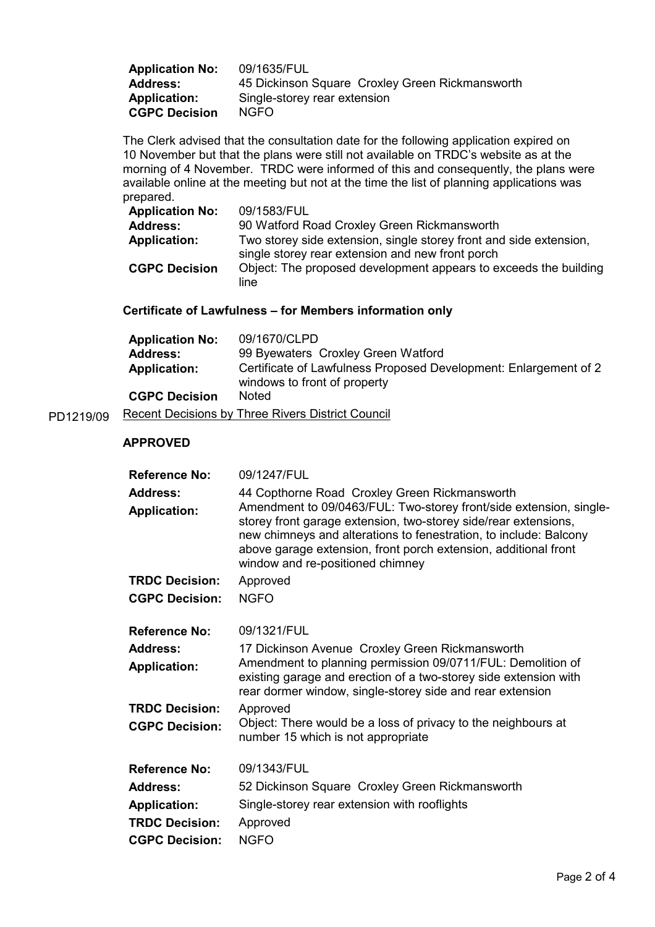| <b>Application No:</b> | 09/1635/FUL                                     |
|------------------------|-------------------------------------------------|
| <b>Address:</b>        | 45 Dickinson Square Croxley Green Rickmansworth |
| Application:           | Single-storey rear extension                    |
| <b>CGPC Decision</b>   | NGFO.                                           |

The Clerk advised that the consultation date for the following application expired on 10 November but that the plans were still not available on TRDC's website as at the morning of 4 November. TRDC were informed of this and consequently, the plans were available online at the meeting but not at the time the list of planning applications was prepared.

| <b>Application No:</b> | 09/1583/FUL                                                                                                            |
|------------------------|------------------------------------------------------------------------------------------------------------------------|
| <b>Address:</b>        | 90 Watford Road Croxley Green Rickmansworth                                                                            |
| <b>Application:</b>    | Two storey side extension, single storey front and side extension,<br>single storey rear extension and new front porch |
| <b>CGPC Decision</b>   | Object: The proposed development appears to exceeds the building<br>line                                               |

# Certificate of Lawfulness – for Members information only

| <b>Application No:</b> | 09/1670/CLPD                                                                                     |
|------------------------|--------------------------------------------------------------------------------------------------|
| <b>Address:</b>        | 99 Byewaters Croxley Green Watford                                                               |
| <b>Application:</b>    | Certificate of Lawfulness Proposed Development: Enlargement of 2<br>windows to front of property |
| <b>CGPC Decision</b>   | <b>Noted</b>                                                                                     |
|                        |                                                                                                  |

PD1219/09 Recent Decisions by Three Rivers District Council

## APPROVED

| <b>Reference No:</b>  | 09/1247/FUL                                                                                                                                                                                                                                                                                                       |
|-----------------------|-------------------------------------------------------------------------------------------------------------------------------------------------------------------------------------------------------------------------------------------------------------------------------------------------------------------|
| <b>Address:</b>       | 44 Copthorne Road Croxley Green Rickmansworth                                                                                                                                                                                                                                                                     |
| <b>Application:</b>   | Amendment to 09/0463/FUL: Two-storey front/side extension, single-<br>storey front garage extension, two-storey side/rear extensions,<br>new chimneys and alterations to fenestration, to include: Balcony<br>above garage extension, front porch extension, additional front<br>window and re-positioned chimney |
| <b>TRDC Decision:</b> | Approved                                                                                                                                                                                                                                                                                                          |
| <b>CGPC Decision:</b> | <b>NGFO</b>                                                                                                                                                                                                                                                                                                       |
| <b>Reference No:</b>  | 09/1321/FUL                                                                                                                                                                                                                                                                                                       |
| <b>Address:</b>       | 17 Dickinson Avenue Croxley Green Rickmansworth                                                                                                                                                                                                                                                                   |
| <b>Application:</b>   | Amendment to planning permission 09/0711/FUL: Demolition of<br>existing garage and erection of a two-storey side extension with<br>rear dormer window, single-storey side and rear extension                                                                                                                      |
| <b>TRDC Decision:</b> | Approved                                                                                                                                                                                                                                                                                                          |
| <b>CGPC Decision:</b> | Object: There would be a loss of privacy to the neighbours at<br>number 15 which is not appropriate                                                                                                                                                                                                               |
| <b>Reference No:</b>  | 09/1343/FUL                                                                                                                                                                                                                                                                                                       |
| <b>Address:</b>       | 52 Dickinson Square Croxley Green Rickmansworth                                                                                                                                                                                                                                                                   |
| <b>Application:</b>   | Single-storey rear extension with rooflights                                                                                                                                                                                                                                                                      |
| <b>TRDC Decision:</b> | Approved                                                                                                                                                                                                                                                                                                          |
| <b>CGPC Decision:</b> | <b>NGFO</b>                                                                                                                                                                                                                                                                                                       |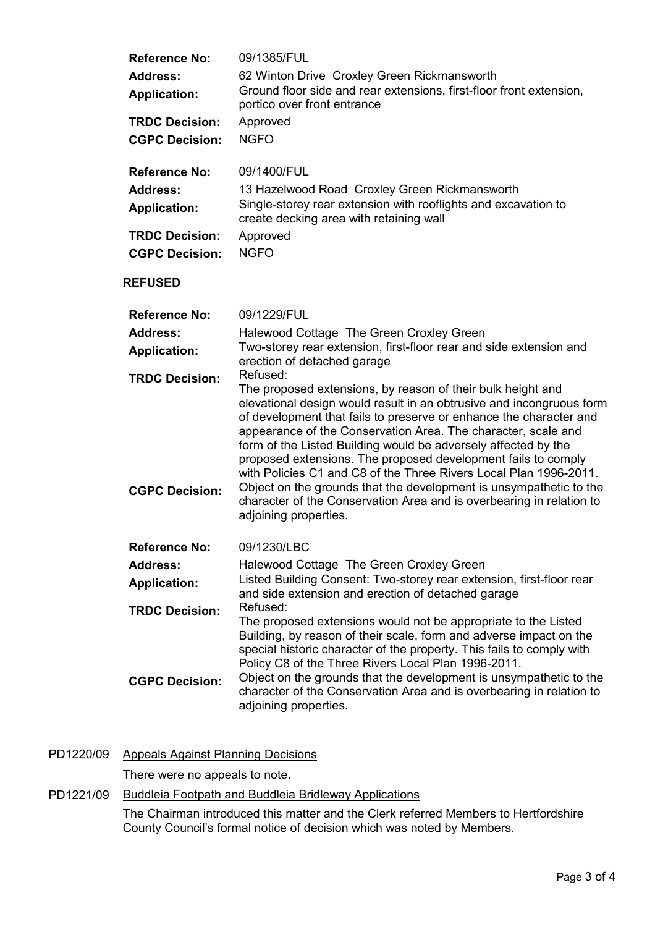| <b>Reference No:</b>                           | 09/1385/FUL                                                                                                                                                                                                                                                                                                                                                                                                                                                                                                                                                                                                                                               |  |
|------------------------------------------------|-----------------------------------------------------------------------------------------------------------------------------------------------------------------------------------------------------------------------------------------------------------------------------------------------------------------------------------------------------------------------------------------------------------------------------------------------------------------------------------------------------------------------------------------------------------------------------------------------------------------------------------------------------------|--|
| <b>Address:</b>                                | 62 Winton Drive Croxley Green Rickmansworth                                                                                                                                                                                                                                                                                                                                                                                                                                                                                                                                                                                                               |  |
| <b>Application:</b>                            | Ground floor side and rear extensions, first-floor front extension,<br>portico over front entrance                                                                                                                                                                                                                                                                                                                                                                                                                                                                                                                                                        |  |
| <b>TRDC Decision:</b>                          | Approved                                                                                                                                                                                                                                                                                                                                                                                                                                                                                                                                                                                                                                                  |  |
| <b>CGPC Decision:</b>                          | <b>NGFO</b>                                                                                                                                                                                                                                                                                                                                                                                                                                                                                                                                                                                                                                               |  |
| <b>Reference No:</b>                           | 09/1400/FUL                                                                                                                                                                                                                                                                                                                                                                                                                                                                                                                                                                                                                                               |  |
| <b>Address:</b><br><b>Application:</b>         | 13 Hazelwood Road Croxley Green Rickmansworth<br>Single-storey rear extension with rooflights and excavation to<br>create decking area with retaining wall                                                                                                                                                                                                                                                                                                                                                                                                                                                                                                |  |
| <b>TRDC Decision:</b><br><b>CGPC Decision:</b> | Approved<br><b>NGFO</b>                                                                                                                                                                                                                                                                                                                                                                                                                                                                                                                                                                                                                                   |  |
| <b>REFUSED</b>                                 |                                                                                                                                                                                                                                                                                                                                                                                                                                                                                                                                                                                                                                                           |  |
| <b>Reference No:</b>                           | 09/1229/FUL                                                                                                                                                                                                                                                                                                                                                                                                                                                                                                                                                                                                                                               |  |
| Address:                                       | Halewood Cottage The Green Croxley Green                                                                                                                                                                                                                                                                                                                                                                                                                                                                                                                                                                                                                  |  |
| <b>Application:</b>                            | Two-storey rear extension, first-floor rear and side extension and<br>erection of detached garage                                                                                                                                                                                                                                                                                                                                                                                                                                                                                                                                                         |  |
| <b>TRDC Decision:</b>                          | Refused:                                                                                                                                                                                                                                                                                                                                                                                                                                                                                                                                                                                                                                                  |  |
| <b>CGPC Decision:</b>                          | The proposed extensions, by reason of their bulk height and<br>elevational design would result in an obtrusive and incongruous form<br>of development that fails to preserve or enhance the character and<br>appearance of the Conservation Area. The character, scale and<br>form of the Listed Building would be adversely affected by the<br>proposed extensions. The proposed development fails to comply<br>with Policies C1 and C8 of the Three Rivers Local Plan 1996-2011.<br>Object on the grounds that the development is unsympathetic to the<br>character of the Conservation Area and is overbearing in relation to<br>adjoining properties. |  |
| <b>Reference No:</b>                           | 09/1230/LBC                                                                                                                                                                                                                                                                                                                                                                                                                                                                                                                                                                                                                                               |  |
| <b>Address:</b>                                | Halewood Cottage The Green Croxley Green                                                                                                                                                                                                                                                                                                                                                                                                                                                                                                                                                                                                                  |  |
| <b>Application:</b>                            | Listed Building Consent: Two-storey rear extension, first-floor rear<br>and side extension and erection of detached garage                                                                                                                                                                                                                                                                                                                                                                                                                                                                                                                                |  |
| <b>TRDC Decision:</b>                          | Refused:                                                                                                                                                                                                                                                                                                                                                                                                                                                                                                                                                                                                                                                  |  |
| <b>CGPC Decision:</b>                          | The proposed extensions would not be appropriate to the Listed<br>Building, by reason of their scale, form and adverse impact on the<br>special historic character of the property. This fails to comply with<br>Policy C8 of the Three Rivers Local Plan 1996-2011.<br>Object on the grounds that the development is unsympathetic to the<br>character of the Conservation Area and is overbearing in relation to<br>adjoining properties.                                                                                                                                                                                                               |  |

PD1220/09 Appeals Against Planning Decisions

There were no appeals to note.

PD1221/09 Buddleia Footpath and Buddleia Bridleway Applications

The Chairman introduced this matter and the Clerk referred Members to Hertfordshire County Council's formal notice of decision which was noted by Members.